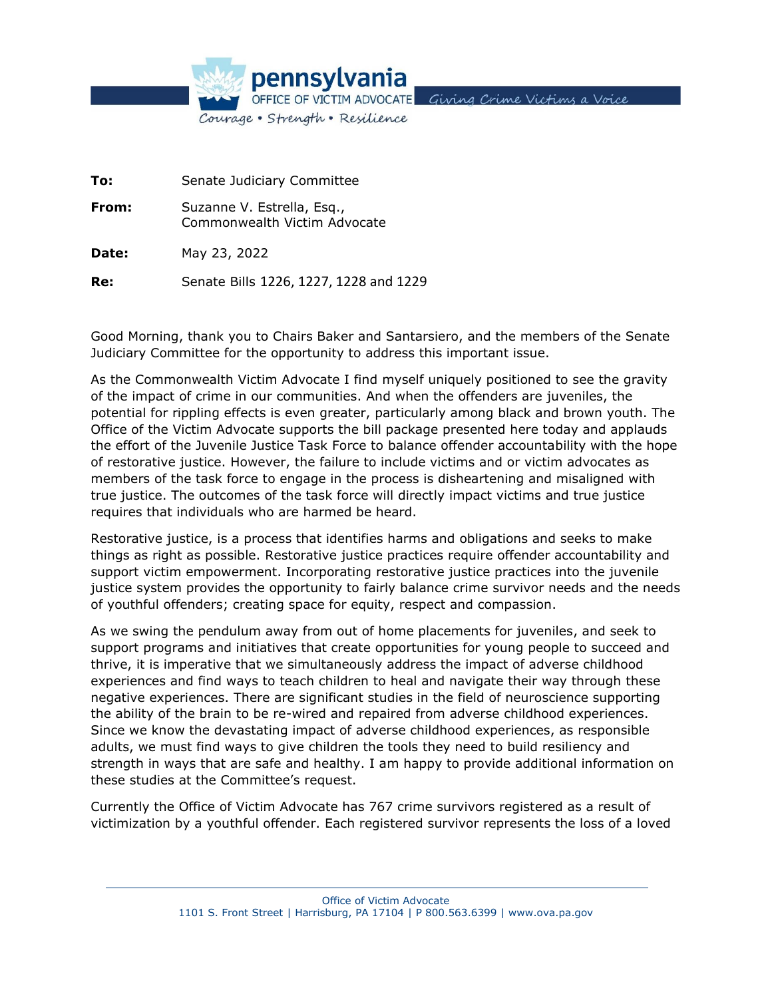

**To:** Senate Judiciary Committee **From:** Suzanne V. Estrella, Esq., Commonwealth Victim Advocate **Date:** May 23, 2022 **Re:** Senate Bills 1226, 1227, 1228 and 1229

Good Morning, thank you to Chairs Baker and Santarsiero, and the members of the Senate Judiciary Committee for the opportunity to address this important issue.

As the Commonwealth Victim Advocate I find myself uniquely positioned to see the gravity of the impact of crime in our communities. And when the offenders are juveniles, the potential for rippling effects is even greater, particularly among black and brown youth. The Office of the Victim Advocate supports the bill package presented here today and applauds the effort of the Juvenile Justice Task Force to balance offender accountability with the hope of restorative justice. However, the failure to include victims and or victim advocates as members of the task force to engage in the process is disheartening and misaligned with true justice. The outcomes of the task force will directly impact victims and true justice requires that individuals who are harmed be heard.

Restorative justice, is a process that identifies harms and obligations and seeks to make things as right as possible. Restorative justice practices require offender accountability and support victim empowerment. Incorporating restorative justice practices into the juvenile justice system provides the opportunity to fairly balance crime survivor needs and the needs of youthful offenders; creating space for equity, respect and compassion.

As we swing the pendulum away from out of home placements for juveniles, and seek to support programs and initiatives that create opportunities for young people to succeed and thrive, it is imperative that we simultaneously address the impact of adverse childhood experiences and find ways to teach children to heal and navigate their way through these negative experiences. There are significant studies in the field of neuroscience supporting the ability of the brain to be re-wired and repaired from adverse childhood experiences. Since we know the devastating impact of adverse childhood experiences, as responsible adults, we must find ways to give children the tools they need to build resiliency and strength in ways that are safe and healthy. I am happy to provide additional information on these studies at the Committee's request.

Currently the Office of Victim Advocate has 767 crime survivors registered as a result of victimization by a youthful offender. Each registered survivor represents the loss of a loved